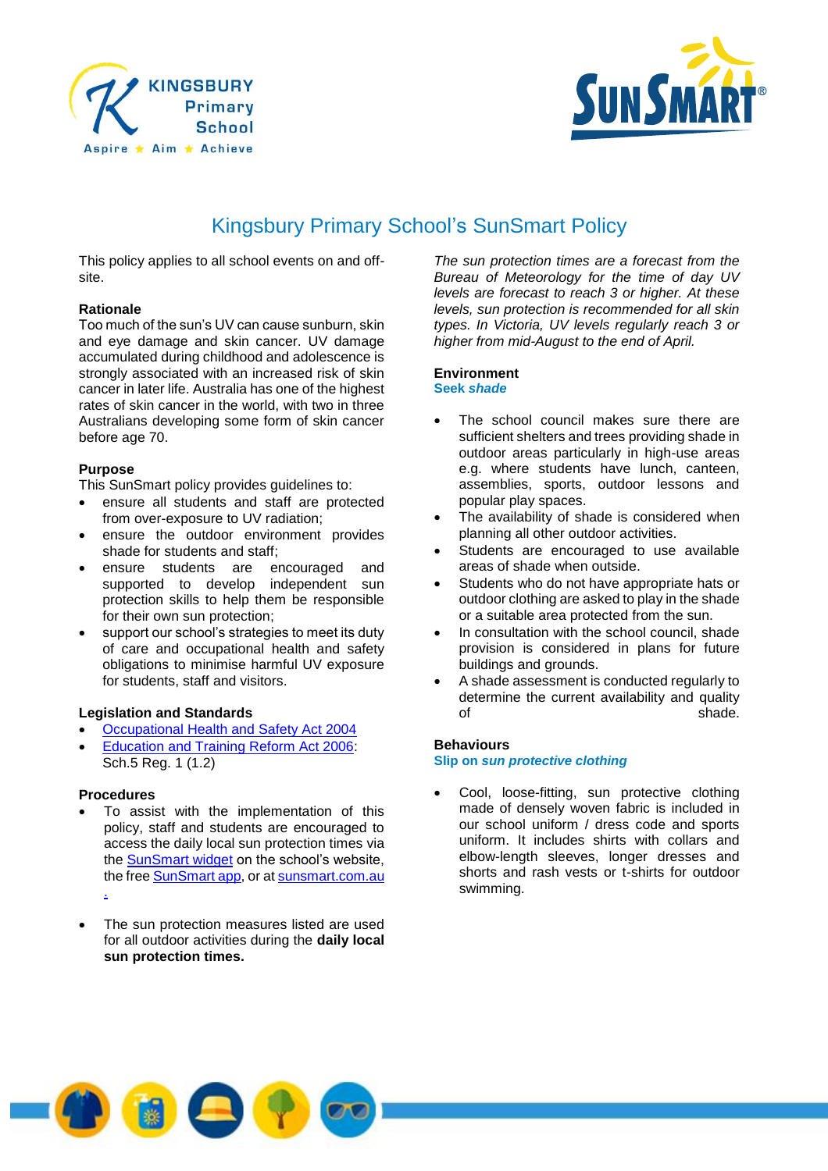



# Kingsbury Primary School's SunSmart Policy

This policy applies to all school events on and offsite.

# **Rationale**

Too much of the sun's UV can cause sunburn, skin and eye damage and skin cancer. UV damage accumulated during childhood and adolescence is strongly associated with an increased risk of skin cancer in later life. Australia has one of the highest rates of skin cancer in the world, with two in three Australians developing some form of skin cancer before age 70.

# **Purpose**

This SunSmart policy provides guidelines to:

- ensure all students and staff are protected from over-exposure to UV radiation;
- ensure the outdoor environment provides shade for students and staff;
- ensure students are encouraged and supported to develop independent sun protection skills to help them be responsible for their own sun protection;
- support our school's strategies to meet its duty of care and occupational health and safety obligations to minimise harmful UV exposure for students, staff and visitors.

# **Legislation and Standards**

- [Occupational Health and Safety Act 2004](http://www.legislation.vic.gov.au/Domino/Web_Notes/LDMS/PubStatbook.nsf/edfb620cf7503d1aca256da4001b08af/750E0D9E0B2B387FCA256F71001FA7BE/$FILE/04-107A.pdf)
- [Education and Training Reform Act 2006:](http://www.education.vic.gov.au/about/department/legislation/Pages/act2006.aspx) Sch.5 Reg. 1 (1.2)

# **Procedures**

- To assist with the implementation of this policy, staff and students are encouraged to access the daily local sun protection times via the **SunSmart widget** on the school's website, the free **SunSmart app**, or at [sunsmart.com.au](http://www.sunsmart.com.au/) .
- The sun protection measures listed are used for all outdoor activities during the **daily local sun protection times.**

*The sun protection times are a forecast from the Bureau of Meteorology for the time of day UV levels are forecast to reach 3 or higher. At these levels, sun protection is recommended for all skin types. In Victoria, UV levels regularly reach 3 or higher from mid-August to the end of April.*

#### **Environment Seek** *shade*

- The school council makes sure there are sufficient shelters and trees providing shade in outdoor areas particularly in high-use areas e.g. where students have lunch, canteen, assemblies, sports, outdoor lessons and popular play spaces.
- The availability of shade is considered when planning all other outdoor activities.
- Students are encouraged to use available areas of shade when outside.
- Students who do not have appropriate hats or outdoor clothing are asked to play in the shade or a suitable area protected from the sun.
- In consultation with the school council, shade provision is considered in plans for future buildings and grounds.
- A shade assessment is conducted regularly to determine the current availability and quality of shade.

# **Behaviours**

#### **Slip on** *sun protective clothing*

 Cool, loose-fitting, sun protective clothing made of densely woven fabric is included in our school uniform / dress code and sports uniform. It includes shirts with collars and elbow-length sleeves, longer dresses and shorts and rash vests or t-shirts for outdoor swimming.